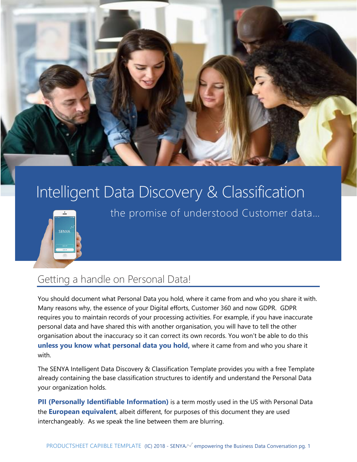

# Intelligent Data Discovery & Classification



the promise of understood Customer data…

## Getting a handle on Personal Data!

You should document what Personal Data you hold, where it came from and who you share it with. Many reasons why, the essence of your Digital efforts, Customer 360 and now GDPR. GDPR requires you to maintain records of your processing activities. For example, if you have inaccurate personal data and have shared this with another organisation, you will have to tell the other organisation about the inaccuracy so it can correct its own records. You won't be able to do this **unless you know what personal data you hold,** where it came from and who you share it with.

The SENYA Intelligent Data Discovery & Classification Template provides you with a free Template already containing the base classification structures to identify and understand the Personal Data your organization holds.

**PII (Personally Identifiable Information)** is a term mostly used in the US with Personal Data the **European equivalent**, albeit different, for purposes of this document they are used interchangeably. As we speak the line between them are blurring.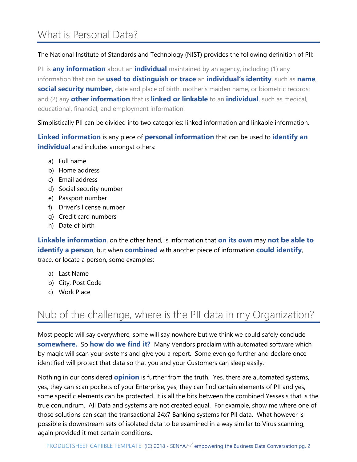## What is Personal Data?

The National Institute of Standards and Technology (NIST) provides the following definition of PII:

PII is **any information** about an **individual** maintained by an agency, including (1) any information that can be **used to distinguish or trace** an **individual's identity**, such as **name**, **social security number,** date and place of birth, mother's maiden name, or biometric records; and (2) any **other information** that is **linked or linkable** to an **individual**, such as medical, educational, financial, and employment information.

Simplistically PII can be divided into two categories: linked information and linkable information.

**Linked information** is any piece of **personal information** that can be used to **identify an individual** and includes amongst others:

- a) Full name
- b) Home address
- c) Email address
- d) Social security number
- e) Passport number
- f) Driver's license number
- g) Credit card numbers
- h) Date of birth

**Linkable information**, on the other hand, is information that **on its own** may **not be able to identify a person**, but when **combined** with another piece of information **could identify**, trace, or locate a person, some examples:

- a) Last Name
- b) City, Post Code
- c) Work Place

# Nub of the challenge, where is the PII data in my Organization?

Most people will say everywhere, some will say nowhere but we think we could safely conclude **somewhere.** So **how do we find it?** Many Vendors proclaim with automated software which by magic will scan your systems and give you a report. Some even go further and declare once identified will protect that data so that you and your Customers can sleep easily.

Nothing in our considered **opinion** is further from the truth. Yes, there are automated systems, yes, they can scan pockets of your Enterprise, yes, they can find certain elements of PII and yes, some specific elements can be protected. It is all the bits between the combined Yesses's that is the true conundrum. All Data and systems are not created equal. For example, show me where one of those solutions can scan the transactional 24x7 Banking systems for PII data. What however is possible is downstream sets of isolated data to be examined in a way similar to Virus scanning, again provided it met certain conditions.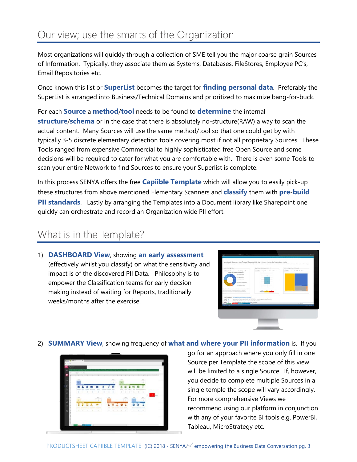# Our view; use the smarts of the Organization

Most organizations will quickly through a collection of SME tell you the major coarse grain Sources of Information. Typically, they associate them as Systems, Databases, FileStores, Employee PC's, Email Repositories etc.

Once known this list or **SuperList** becomes the target for **finding personal data**. Preferably the SuperList is arranged into Business/Technical Domains and prioritized to maximize bang-for-buck.

For each **Source** a **method**/**tool** needs to be found to **determine** the internal **structure**/**schema** or in the case that there is absolutely no-structure(RAW) a way to scan the actual content. Many Sources will use the same method/tool so that one could get by with typically 3-5 discrete elementary detection tools covering most if not all proprietary Sources. These Tools ranged from expensive Commercial to highly sophisticated free Open Source and some decisions will be required to cater for what you are comfortable with. There is even some Tools to scan your entire Network to find Sources to ensure your Superlist is complete.

In this process SENYA offers the free **Capiible Template** which will allow you to easily pick-up these structures from above mentioned Elementary Scanners and **classify** them with **pre**-**build PII standards**. Lastly by arranging the Templates into a Document library like Sharepoint one quickly can orchestrate and record an Organization wide PII effort.

## What is in the Template?

1) **DASHBOARD View**, showing **an early assessment** (effectively whilst you classify) on what the sensitivity and impact is of the discovered PII Data. Philosophy is to empower the Classification teams for early decsion making instead of waiting for Reports, traditionally weeks/months after the exercise.



2) **SUMMARY View**, showing frequency of **what and where your PII information** is. If you



go for an approach where you only fill in one Source per Template the scope of this view will be limited to a single Source. If, however, you decide to complete multiple Sources in a single temple the scope will vary accordingly. For more comprehensive Views we recommend using our platform in conjunction with any of your favorite BI tools e.g. PowerBI, Tableau, MicroStrategy etc.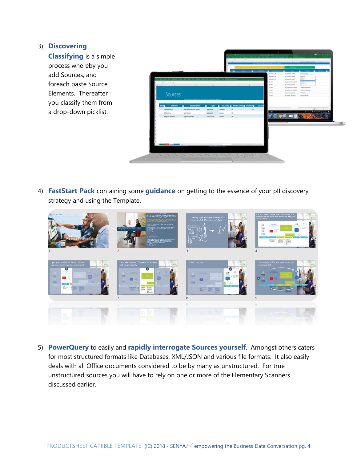#### 3) **Discovering**

**Classifying** is a simple process whereby you add Sources, and foreach paste Source Elements. Thereafter you classify them from a drop-down picklist.



4) **FastStart Pack** containing some **guidance** on getting to the essence of your pII discovery strategy and using the Template.



5) **PowerQuery** to easily and **rapidly interrogate Sources yourself**. Amongst others caters for most structured formats like Databases, XML/JSON and various file formats. It also easily deals with all Office documents considered to be by many as unstructured. For true unstructured sources you will have to rely on one or more of the Elementary Scanners discussed earlier.